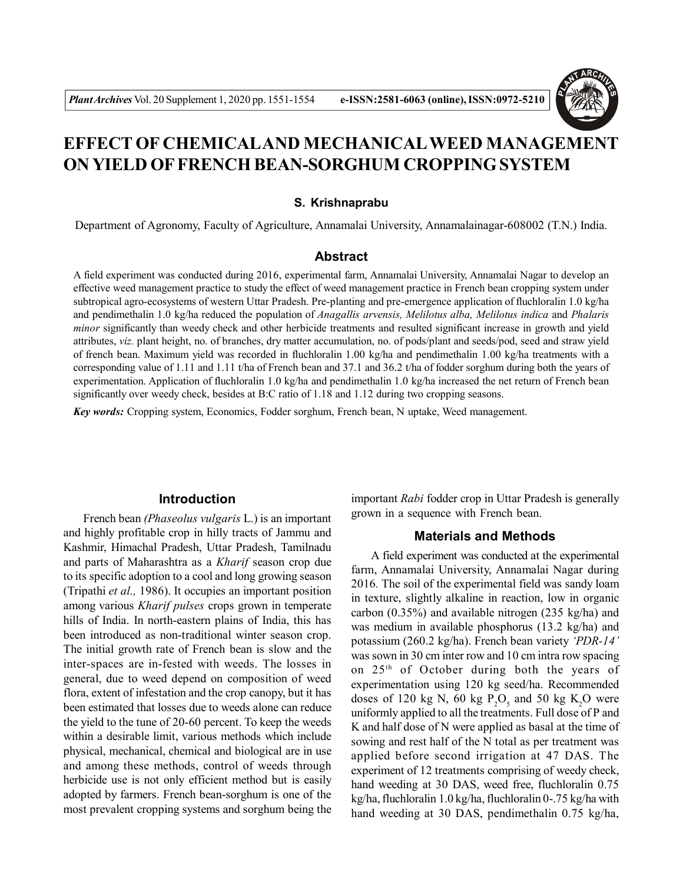

# **EFFECT OF CHEMICALAND MECHANICALWEED MANAGEMENT ON YIELD OF FRENCH BEAN-SORGHUM CROPPING SYSTEM**

#### **S. Krishnaprabu**

Department of Agronomy, Faculty of Agriculture, Annamalai University, Annamalainagar-608002 (T.N.) India.

## **Abstract**

A field experiment was conducted during 2016, experimental farm, Annamalai University, Annamalai Nagar to develop an effective weed management practice to study the effect of weed management practice in French bean cropping system under subtropical agro-ecosystems of western Uttar Pradesh. Pre-planting and pre-emergence application of fluchloralin 1.0 kg/ha and pendimethalin 1.0 kg/ha reduced the population of *Anagallis arvensis, Melilotus alba, Melilotus indica* and *Phalaris minor* significantly than weedy check and other herbicide treatments and resulted significant increase in growth and yield attributes, *viz.* plant height, no. of branches, dry matter accumulation, no. of pods/plant and seeds/pod, seed and straw yield of french bean. Maximum yield was recorded in fluchloralin 1.00 kg/ha and pendimethalin 1.00 kg/ha treatments with a corresponding value of 1.11 and 1.11 t/ha of French bean and 37.1 and 36.2 t/ha of fodder sorghum during both the years of experimentation. Application of fluchloralin 1.0 kg/ha and pendimethalin 1.0 kg/ha increased the net return of French bean significantly over weedy check, besides at B:C ratio of 1.18 and 1.12 during two cropping seasons.

*Key words:* Cropping system, Economics, Fodder sorghum, French bean, N uptake, Weed management.

# **Introduction**

French bean *(Phaseolus vulgaris* L.) is an important and highly profitable crop in hilly tracts of Jammu and Kashmir, Himachal Pradesh, Uttar Pradesh, Tamilnadu and parts of Maharashtra as a *Kharif* season crop due to its specific adoption to a cool and long growing season (Tripathi *et al.,* 1986). It occupies an important position among various *Kharif pulses* crops grown in temperate hills of India. In north-eastern plains of India, this has been introduced as non-traditional winter season crop. The initial growth rate of French bean is slow and the inter-spaces are in-fested with weeds. The losses in general, due to weed depend on composition of weed flora, extent of infestation and the crop canopy, but it has been estimated that losses due to weeds alone can reduce the yield to the tune of 20-60 percent. To keep the weeds within a desirable limit, various methods which include physical, mechanical, chemical and biological are in use and among these methods, control of weeds through herbicide use is not only efficient method but is easily adopted by farmers. French bean-sorghum is one of the most prevalent cropping systems and sorghum being the important *Rabi* fodder crop in Uttar Pradesh is generally grown in a sequence with French bean.

#### **Materials and Methods**

A field experiment was conducted at the experimental farm, Annamalai University, Annamalai Nagar during 2016*.* The soil of the experimental field was sandy loam in texture, slightly alkaline in reaction, low in organic carbon (0.35%) and available nitrogen (235 kg/ha) and was medium in available phosphorus (13.2 kg/ha) and potassium (260.2 kg/ha). French bean variety *'PDR-14'* was sown in 30 cm inter row and 10 cm intra row spacing on 25th of October during both the years of experimentation using 120 kg seed/ha. Recommended doses of 120 kg N, 60 kg  $P_2O_5$  and 50 kg K<sub>2</sub>O were uniformly applied to all the treatments. Full dose of P and K and half dose of N were applied as basal at the time of sowing and rest half of the N total as per treatment was applied before second irrigation at 47 DAS. The experiment of 12 treatments comprising of weedy check, hand weeding at 30 DAS, weed free, fluchloralin 0.75 kg/ha, fluchloralin 1.0 kg/ha, fluchloralin 0-.75 kg/ha with hand weeding at 30 DAS, pendimethalin 0.75 kg/ha,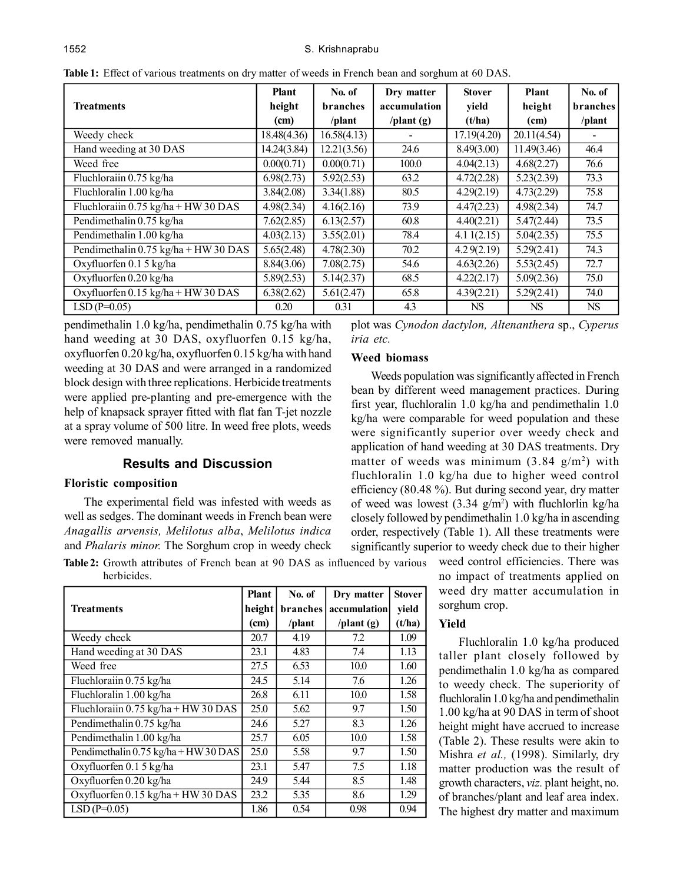|                                                               | <b>Plant</b> | No. of          | Dry matter          | <b>Stover</b> | Plant       | No. of          |
|---------------------------------------------------------------|--------------|-----------------|---------------------|---------------|-------------|-----------------|
| <b>Treatments</b>                                             | height       | branches        | accumulation        | yield         | height      | <b>branches</b> |
|                                                               | (cm)         | $\theta$ /plant | $\theta$ /plant (g) | (t/ha)        | (cm)        | /plant          |
| Weedy check                                                   | 18.48(4.36)  | 16.58(4.13)     |                     | 17.19(4.20)   | 20.11(4.54) |                 |
| Hand weeding at 30 DAS                                        | 14.24(3.84)  | 12.21(3.56)     | 24.6                | 8.49(3.00)    | 11.49(3.46) | 46.4            |
| Weed free                                                     | 0.00(0.71)   | 0.00(0.71)      | 100.0               | 4.04(2.13)    | 4.68(2.27)  | 76.6            |
| Fluchlorain 0.75 kg/ha                                        | 6.98(2.73)   | 5.92(2.53)      | 63.2                | 4.72(2.28)    | 5.23(2.39)  | 73.3            |
| Fluchloralin 1.00 kg/ha                                       | 3.84(2.08)   | 3.34(1.88)      | 80.5                | 4.29(2.19)    | 4.73(2.29)  | 75.8            |
| Fluchloraiin $0.75 \text{ kg/ha} + \text{HW} 30 \text{ DAS}$  | 4.98(2.34)   | 4.16(2.16)      | 73.9                | 4.47(2.23)    | 4.98(2.34)  | 74.7            |
| Pendimethalin 0.75 kg/ha                                      | 7.62(2.85)   | 6.13(2.57)      | 60.8                | 4.40(2.21)    | 5.47(2.44)  | 73.5            |
| Pendimethalin 1.00 kg/ha                                      | 4.03(2.13)   | 3.55(2.01)      | 78.4                | 4.11(2.15)    | 5.04(2.35)  | 75.5            |
| Pendimethalin $0.75 \text{ kg/ha} + \text{HW} 30 \text{ DAS}$ | 5.65(2.48)   | 4.78(2.30)      | 70.2                | 4.29(2.19)    | 5.29(2.41)  | 74.3            |
| Oxyfluorfen 0.1 5 kg/ha                                       | 8.84(3.06)   | 7.08(2.75)      | 54.6                | 4.63(2.26)    | 5.53(2.45)  | 72.7            |
| Oxyfluorfen 0.20 kg/ha                                        | 5.89(2.53)   | 5.14(2.37)      | 68.5                | 4.22(2.17)    | 5.09(2.36)  | 75.0            |
| Oxyfluorfen 0.15 kg/ha + HW 30 DAS                            | 6.38(2.62)   | 5.61(2.47)      | 65.8                | 4.39(2.21)    | 5.29(2.41)  | 74.0            |
| $LSD(P=0.05)$                                                 | 0.20         | 0.31            | 4.3                 | NS.           | NS.         | NS              |

**Table 1:** Effect of various treatments on dry matter of weeds in French bean and sorghum at 60 DAS.

pendimethalin 1.0 kg/ha, pendimethalin 0.75 kg/ha with hand weeding at 30 DAS, oxyfluorfen 0.15 kg/ha, oxyfluorfen 0.20 kg/ha, oxyfluorfen 0.15 kg/ha with hand weeding at 30 DAS and were arranged in a randomized block design with three replications. Herbicide treatments were applied pre-planting and pre-emergence with the help of knapsack sprayer fitted with flat fan T-jet nozzle at a spray volume of 500 litre. In weed free plots, weeds were removed manually.

# **Results and Discussion**

#### **Floristic composition**

The experimental field was infested with weeds as well as sedges. The dominant weeds in French bean were *Anagallis arvensis, Melilotus alba*, *Melilotus indica* and *Phalaris minor.* The Sorghum crop in weedy check

**Table 2:** Growth attributes of French bean at 90 DAS as influenced by various herbicides.

|                                                              | <b>Plant</b> | No. of   | Dry matter           | <b>Stover</b> |
|--------------------------------------------------------------|--------------|----------|----------------------|---------------|
| <b>Treatments</b>                                            | height       | branches | accumulation         | yield         |
|                                                              | (cm)         | /plant   | $\sqrt{$ plant $(g)$ | (t/ha)        |
| Weedy check                                                  | 20.7         | 4.19     | 72                   | 1.09          |
| Hand weeding at 30 DAS                                       | 23.1         | 4.83     | 7.4                  | 1.13          |
| Weed free                                                    | 27.5         | 6.53     | 10.0                 | 1.60          |
| Fluchloraiin 0.75 kg/ha                                      | 24.5         | 5.14     | 7.6                  | 1.26          |
| Fluchloralin 1.00 kg/ha                                      | 26.8         | 6.11     | 10.0                 | 1.58          |
| Fluchloraiin $0.75 \text{ kg/ha} + \text{HW} 30 \text{ DAS}$ | 25.0         | 5.62     | 9.7                  | 1.50          |
| Pendimethalin 0.75 kg/ha                                     | 24.6         | 5.27     | 8.3                  | 1.26          |
| Pendimethalin 1.00 kg/ha                                     | 25.7         | 6.05     | 10.0                 | 1.58          |
| Pendimethalin $0.75 \text{ kg/ha} + \text{HW}30 \text{ DAS}$ | 25.0         | 5.58     | 9.7                  | 1.50          |
| Oxyfluorfen 0.15 kg/ha                                       | 23.1         | 5.47     | 7.5                  | 1.18          |
| Oxyfluorfen 0.20 kg/ha                                       | 24.9         | 5.44     | 8.5                  | 1.48          |
| Oxyfluorfen $0.15 \text{ kg/ha} + \text{HW} 30 \text{ DAS}$  | 23.2         | 5.35     | 8.6                  | 1.29          |
| $LSD(P=0.05)$                                                | 1.86         | 0.54     | 0.98                 | 0.94          |

plot was *Cynodon dactylon, Altenanthera* sp., *Cyperus iria etc.*

#### **Weed biomass**

Weeds population was significantly affected in French bean by different weed management practices. During first year, fluchloralin 1.0 kg/ha and pendimethalin 1.0 kg/ha were comparable for weed population and these were significantly superior over weedy check and application of hand weeding at 30 DAS treatments. Dry matter of weeds was minimum  $(3.84 \text{ g/m}^2)$  with fluchloralin 1.0 kg/ha due to higher weed control efficiency (80.48 %). But during second year, dry matter of weed was lowest  $(3.34 \text{ g/m}^2)$  with fluchlorlin kg/ha closely followed by pendimethalin 1.0 kg/ha in ascending order, respectively (Table 1). All these treatments were significantly superior to weedy check due to their higher

weed control efficiencies. There was no impact of treatments applied on weed dry matter accumulation in sorghum crop.

# **Yield**

Fluchloralin 1.0 kg/ha produced taller plant closely followed by pendimethalin 1.0 kg/ha as compared to weedy check. The superiority of fluchloralin 1.0 kg/ha and pendimethalin 1.00 kg/ha at 90 DAS in term of shoot height might have accrued to increase (Table 2). These results were akin to Mishra *et al.,* (1998). Similarly, dry matter production was the result of growth characters, *viz.* plant height, no. of branches/plant and leaf area index. The highest dry matter and maximum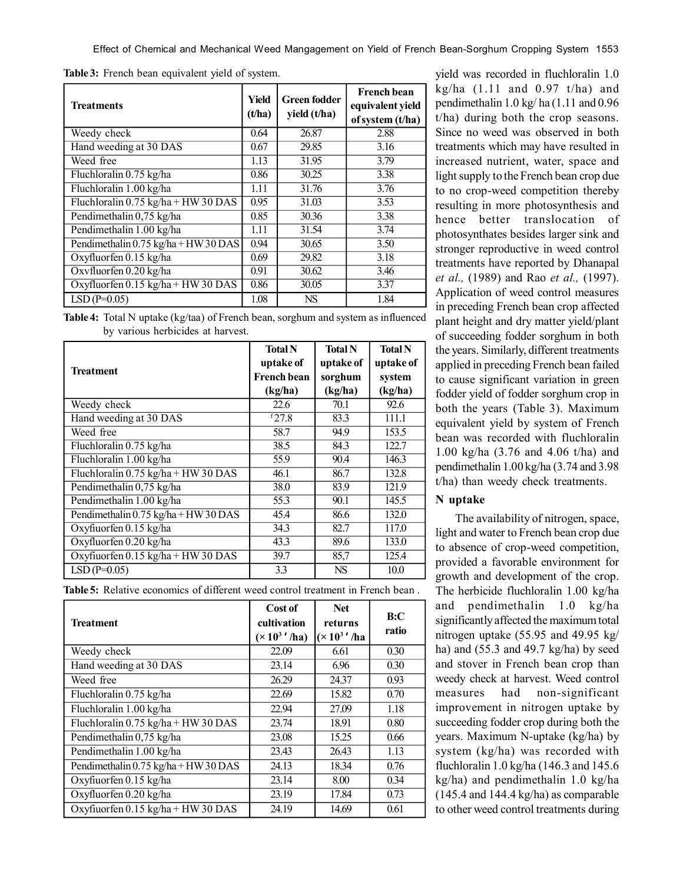Effect of Chemical and Mechanical Weed Mangagement on Yield of French Bean-Sorghum Cropping System 1553

|  |  |  |  |  | Table 3: French bean equivalent yield of system. |
|--|--|--|--|--|--------------------------------------------------|
|--|--|--|--|--|--------------------------------------------------|

| <b>Treatments</b>                     | Yield<br>(t/ha) | <b>Green fodder</b><br>yield (t/ha) | <b>French bean</b><br>equivalent yield<br>of system (t/ha) |
|---------------------------------------|-----------------|-------------------------------------|------------------------------------------------------------|
| Weedy check                           | 0.64            | 26.87                               | 2.88                                                       |
| Hand weeding at 30 DAS                | 0.67            | 29.85                               | 3.16                                                       |
| Weed free                             | 1.13            | 31.95                               | 3.79                                                       |
| Fluchloralin 0.75 kg/ha               | 0.86            | 30.25                               | 3.38                                                       |
| Fluchloralin 1.00 kg/ha               | 1.11            | 31.76                               | 3.76                                                       |
| Fluchloralin $0.75$ kg/ha + HW 30 DAS | 0.95            | 31.03                               | 3.53                                                       |
| Pendimethalin 0,75 kg/ha              | 0.85            | 30.36                               | 3.38                                                       |
| Pendimethalin 1.00 kg/ha              | 1.11            | 31.54                               | 3.74                                                       |
| Pendimethalin 0.75 kg/ha + HW 30 DAS  | 0.94            | 30.65                               | 3.50                                                       |
| Oxyfluorfen 0.15 kg/ha                | 0.69            | 29.82                               | 3.18                                                       |
| Oxyfluorfen 0.20 kg/ha                | 0.91            | $\overline{30.62}$                  | 3.46                                                       |
| Oxyfluorfen 0.15 kg/ha + HW 30 DAS    | 0.86            | 30.05                               | 3.37                                                       |
| $LSD(P=0.05)$                         | 1.08            | <b>NS</b>                           | 1.84                                                       |

**Table 4:** Total N uptake (kg/taa) of French bean, sorghum and system as influenced by various herbicides at harvest.

|                                                              | <b>Total N</b>                  | <b>Total N</b>       | <b>Total N</b>      |
|--------------------------------------------------------------|---------------------------------|----------------------|---------------------|
| Treatment                                                    | uptake of<br><b>French bean</b> | uptake of<br>sorghum | uptake of<br>system |
|                                                              | (kg/ha)                         | (kg/ha)              | (kg/ha)             |
| Weedy check                                                  | 22.6                            | 70.1                 | 92.6                |
| Hand weeding at 30 DAS                                       | $f$ 27.8                        | 83.3                 | 111.1               |
| Weed free                                                    | 58.7                            | 94.9                 | 153.5               |
| Fluchloralin 0.75 kg/ha                                      | 38.5                            | 84.3                 | 122.7               |
| Fluchloralin 1.00 kg/ha                                      | 55.9                            | 90.4                 | 146.3               |
| Fluchloralin $0.75$ kg/ha + HW 30 DAS                        | 46.1                            | 86.7                 | 132.8               |
| Pendimethalin 0,75 kg/ha                                     | 38.0                            | 83.9                 | 121.9               |
| Pendimethalin 1.00 kg/ha                                     | 55.3                            | 90.1                 | 145.5               |
| Pendimethalin $0.75 \text{ kg/ha} + \text{HW}30 \text{ DAS}$ | 45.4                            | 86.6                 | 132.0               |
| Oxyfiuorfen 0.15 kg/ha                                       | 34.3                            | 82.7                 | 117.0               |
| Oxyfluorfen 0.20 kg/ha                                       | 43.3                            | 89.6                 | 133.0               |
| Oxyfiuorfen 0.15 kg/ha + HW 30 DAS                           | 39.7                            | 85,7                 | 125.4               |
| $LSD(P=0.05)$                                                | 3.3                             | <b>NS</b>            | 10.0                |

**Table 5:** Relative economics of different weed control treatment in French bean .

| Treatment                                                    | Cost of<br>cultivation<br>$(\times 10^3)'$ ha) | <b>Net</b><br>returns<br>$(x 103$ '/ha | B:C<br>ratio |
|--------------------------------------------------------------|------------------------------------------------|----------------------------------------|--------------|
| Weedy check                                                  | 22.09                                          | 6.61                                   | 0.30         |
| Hand weeding at 30 DAS                                       | 23.14                                          | 6.96                                   | 0.30         |
| Weed free                                                    | 26.29                                          | 24.37                                  | 0.93         |
| Fluchloralin 0.75 kg/ha                                      | 22.69                                          | 15.82                                  | 0.70         |
| Fluchloralin 1.00 kg/ha                                      | 22.94                                          | 27.09                                  | 1.18         |
| Fluchloralin 0.75 kg/ha + HW 30 DAS                          | 23.74                                          | 18.91                                  | 0.80         |
| Pendimethalin 0,75 kg/ha                                     | 23.08                                          | 15.25                                  | 0.66         |
| Pendimethalin 1.00 kg/ha                                     | 23.43                                          | 26.43                                  | 1.13         |
| Pendimethalin $0.75 \text{ kg/ha} + \text{HW}30 \text{ DAS}$ | 24.13                                          | 18.34                                  | 0.76         |
| Oxyfiuorfen 0.15 kg/ha                                       | 23.14                                          | 8.00                                   | 0.34         |
| Oxyfluorfen 0.20 kg/ha                                       | 23.19                                          | 17.84                                  | 0.73         |
| Oxyfiuorfen 0.15 kg/ha + HW 30 DAS                           | 24.19                                          | 14.69                                  | 0.61         |

yield was recorded in fluchloralin 1.0 kg/ha  $(1.11$  and  $0.97$  t/ha) and pendimethalin 1.0 kg/ ha (1.11 and 0.96 t/ha) during both the crop seasons. Since no weed was observed in both treatments which may have resulted in increased nutrient, water, space and light supply to the French bean crop due to no crop-weed competition thereby resulting in more photosynthesis and hence better translocation of photosynthates besides larger sink and stronger reproductive in weed control treatments have reported by Dhanapal *et al.,* (1989) and Rao *et al.,* (1997). Application of weed control measures in preceding French bean crop affected plant height and dry matter yield/plant of succeeding fodder sorghum in both the years. Similarly, different treatments applied in preceding French bean failed to cause significant variation in green fodder yield of fodder sorghum crop in both the years (Table 3). Maximum equivalent yield by system of French bean was recorded with fluchloralin 1.00 kg/ha (3.76 and 4.06 t/ha) and pendimethalin 1.00 kg/ha (3.74 and 3.98 t/ha) than weedy check treatments.

#### **N uptake**

The availability of nitrogen, space, light and water to French bean crop due to absence of crop-weed competition, provided a favorable environment for growth and development of the crop. The herbicide fluchloralin 1.00 kg/ha and pendimethalin 1.0 kg/ha significantly affected the maximum total nitrogen uptake (55.95 and 49.95 kg/ ha) and (55.3 and 49.7 kg/ha) by seed and stover in French bean crop than weedy check at harvest. Weed control measures had non-significant improvement in nitrogen uptake by succeeding fodder crop during both the years. Maximum N-uptake (kg/ha) by system (kg/ha) was recorded with fluchloralin 1.0 kg/ha (146.3 and 145.6 kg/ha) and pendimethalin 1.0 kg/ha (145.4 and 144.4 kg/ha) as comparable to other weed control treatments during